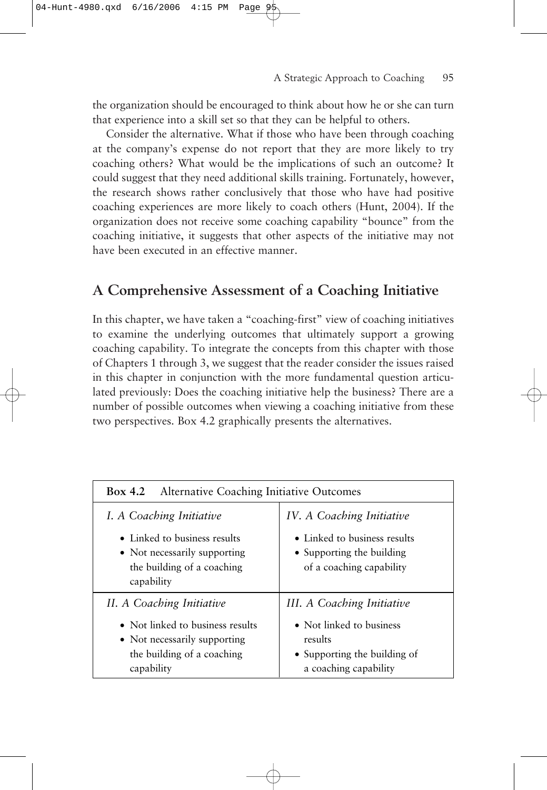the organization should be encouraged to think about how he or she can turn that experience into a skill set so that they can be helpful to others.

Consider the alternative. What if those who have been through coaching at the company's expense do not report that they are more likely to try coaching others? What would be the implications of such an outcome? It could suggest that they need additional skills training. Fortunately, however, the research shows rather conclusively that those who have had positive coaching experiences are more likely to coach others (Hunt, 2004). If the organization does not receive some coaching capability "bounce" from the coaching initiative, it suggests that other aspects of the initiative may not have been executed in an effective manner.

## **A Comprehensive Assessment of a Coaching Initiative**

In this chapter, we have taken a "coaching-first" view of coaching initiatives to examine the underlying outcomes that ultimately support a growing coaching capability. To integrate the concepts from this chapter with those of Chapters 1 through 3, we suggest that the reader consider the issues raised in this chapter in conjunction with the more fundamental question articulated previously: Does the coaching initiative help the business? There are a number of possible outcomes when viewing a coaching initiative from these two perspectives. Box 4.2 graphically presents the alternatives.

| Box 4.2<br>Alternative Coaching Initiative Outcomes                                                          |                                                                                              |
|--------------------------------------------------------------------------------------------------------------|----------------------------------------------------------------------------------------------|
| I. A Coaching Initiative                                                                                     | IV. A Coaching Initiative                                                                    |
| • Linked to business results<br>• Not necessarily supporting<br>the building of a coaching<br>capability     | • Linked to business results<br>• Supporting the building<br>of a coaching capability        |
| II. A Coaching Initiative                                                                                    | III. A Coaching Initiative                                                                   |
| • Not linked to business results<br>• Not necessarily supporting<br>the building of a coaching<br>capability | • Not linked to business<br>results<br>• Supporting the building of<br>a coaching capability |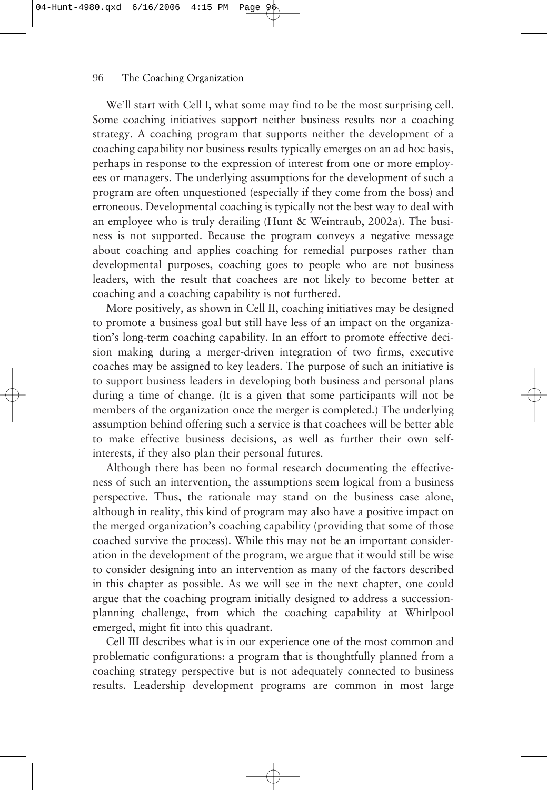## 96 The Coaching Organization

We'll start with Cell I, what some may find to be the most surprising cell. Some coaching initiatives support neither business results nor a coaching strategy. A coaching program that supports neither the development of a coaching capability nor business results typically emerges on an ad hoc basis, perhaps in response to the expression of interest from one or more employees or managers. The underlying assumptions for the development of such a program are often unquestioned (especially if they come from the boss) and erroneous. Developmental coaching is typically not the best way to deal with an employee who is truly derailing (Hunt & Weintraub, 2002a). The business is not supported. Because the program conveys a negative message about coaching and applies coaching for remedial purposes rather than developmental purposes, coaching goes to people who are not business leaders, with the result that coachees are not likely to become better at coaching and a coaching capability is not furthered.

More positively, as shown in Cell II, coaching initiatives may be designed to promote a business goal but still have less of an impact on the organization's long-term coaching capability. In an effort to promote effective decision making during a merger-driven integration of two firms, executive coaches may be assigned to key leaders. The purpose of such an initiative is to support business leaders in developing both business and personal plans during a time of change. (It is a given that some participants will not be members of the organization once the merger is completed.) The underlying assumption behind offering such a service is that coachees will be better able to make effective business decisions, as well as further their own selfinterests, if they also plan their personal futures.

Although there has been no formal research documenting the effectiveness of such an intervention, the assumptions seem logical from a business perspective. Thus, the rationale may stand on the business case alone, although in reality, this kind of program may also have a positive impact on the merged organization's coaching capability (providing that some of those coached survive the process). While this may not be an important consideration in the development of the program, we argue that it would still be wise to consider designing into an intervention as many of the factors described in this chapter as possible. As we will see in the next chapter, one could argue that the coaching program initially designed to address a successionplanning challenge, from which the coaching capability at Whirlpool emerged, might fit into this quadrant.

Cell III describes what is in our experience one of the most common and problematic configurations: a program that is thoughtfully planned from a coaching strategy perspective but is not adequately connected to business results. Leadership development programs are common in most large